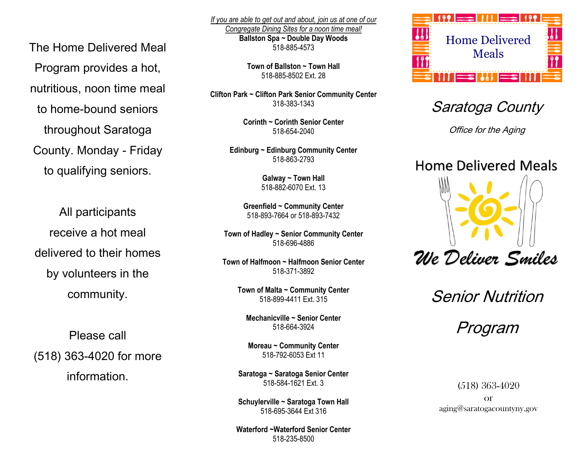The Home Delivered Meal Program provides a hot, nutritious, noon time meal to home-bound seniors throughout Saratoga County. Monday - Friday to qualifying seniors.

All participants receive a hot meal delivered to their homes by volunteers in the community.

Please call (518) 363-4020 for more

information.

*If you are able to get out and about, join us at one of our Congregate Dining Sites for a noon time meal!* **Ballston Spa ~ Double Day Woods** 518-885-4573

> **Town of Ballston ~ Town Hall** 518-885-8502 Ext. 28

**Clifton Park ~ Clifton Park Senior Community Center** 318-383-1343

> **Corinth ~ Corinth Senior Center** 518-654-2040

**Edinburg ~ Edinburg Community Center** 518-863-2793

> **Galway ~ Town Hall** 518-882-6070 Ext. 13

**Greenfield ~ Community Center** 518-893-7664 or 518-893-7432

**Town of Hadley ~ Senior Community Center** 518-696-4886

**Town of Halfmoon ~ Halfmoon Senior Center** 518-371-3892

> **Town of Malta ~ Community Center** 518-899-4411 Ext. 315

**Mechanicville ~ Senior Center** 518-664-3924

**Moreau ~ Community Center** 518-792-6053 Ext 11

**Saratoga ~ Saratoga Senior Center** 518-584-1621 Ext. 3

**Schuylerville ~ Saratoga Town Hall** 518-695-3644 Ext 316

**Waterford ~Waterford Senior Center** 518-235-8500



Saratoga County

Office for the Aging

## **Home Delivered Meals**



Senior Nutrition

Program

(518) 363-4020

or aging@saratogacountyny.gov